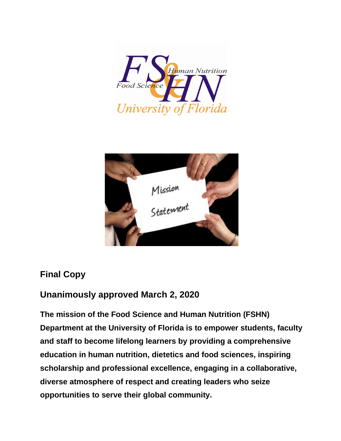



# **Final Copy**

# **Unanimously approved March 2, 2020**

**The mission of the Food Science and Human Nutrition (FSHN) Department at the University of Florida is to empower students, faculty and staff to become lifelong learners by providing a comprehensive education in human nutrition, dietetics and food sciences, inspiring scholarship and professional excellence, engaging in a collaborative, diverse atmosphere of respect and creating leaders who seize opportunities to serve their global community.**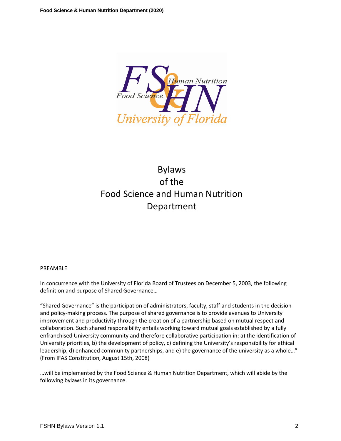

# Bylaws of the Food Science and Human Nutrition Department

#### PREAMBLE

In concurrence with the University of Florida Board of Trustees on December 5, 2003, the following definition and purpose of Shared Governance…

"Shared Governance" is the participation of administrators, faculty, staff and students in the decisionand policy-making process. The purpose of shared governance is to provide avenues to University improvement and productivity through the creation of a partnership based on mutual respect and collaboration. Such shared responsibility entails working toward mutual goals established by a fully enfranchised University community and therefore collaborative participation in: a) the identification of University priorities, b) the development of policy, c) defining the University's responsibility for ethical leadership, d) enhanced community partnerships, and e) the governance of the university as a whole…" (From IFAS Constitution, August 15th, 2008)

…will be implemented by the Food Science & Human Nutrition Department, which will abide by the following bylaws in its governance.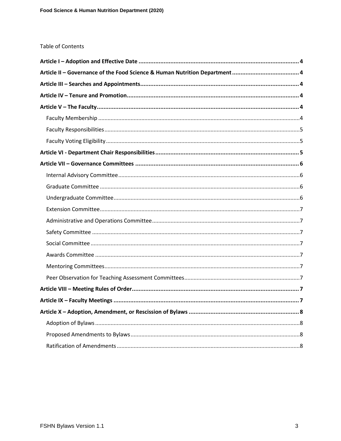# Table of Contents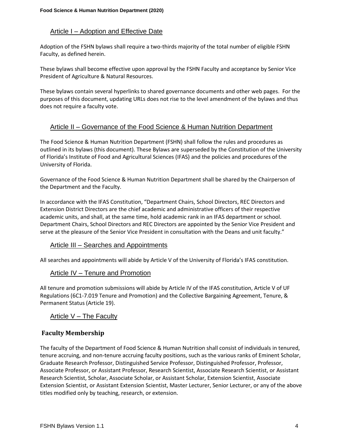# <span id="page-3-0"></span>Article I – Adoption and Effective Date

Adoption of the FSHN bylaws shall require a two-thirds majority of the total number of eligible FSHN Faculty, as defined herein.

These bylaws shall become effective upon approval by the FSHN Faculty and acceptance by Senior Vice President of Agriculture & Natural Resources.

These bylaws contain several hyperlinks to shared governance documents and other web pages. For the purposes of this document, updating URLs does not rise to the level amendment of the bylaws and thus does not require a faculty vote.

### <span id="page-3-1"></span>Article II – Governance of the Food Science & Human Nutrition Department

The [Food Science & Human Nutrition Department \(FSHN\)](http://fshn.ifas.ufl.edu/) shall follow the rules and procedures as outlined in its bylaws (this document). These Bylaws are superseded by the [Constitution of the University](http://faculty.ifas.ufl.edu/assembly/IFAS_Constitution.pdf)  [of Florida's Institute of Food and Agricu](http://faculty.ifas.ufl.edu/assembly/IFAS_Constitution.pdf)ltural Sciences (IFAS) and the policies and procedures of the University of Florida.

Governance of the Food Science & Human Nutrition Department shall be shared by the Chairperson of the Department and the Faculty.

In accordance with th[e IFAS Constitution](http://faculty.ifas.ufl.edu/assembly/IFAS_Constitution.pdf), "Department Chairs, School Directors, REC Directors and Extension District Directors are the chief academic and administrative officers of their respective academic units, and shall, at the same time, hold academic rank in an IFAS department or school. Department Chairs, School Directors and REC Directors are appointed by the Senior Vice President and serve at the pleasure of the Senior Vice President in consultation with the Deans and unit faculty."

#### <span id="page-3-2"></span>Article III – Searches and Appointments

<span id="page-3-3"></span>All searches and appointments will abide by Article V of the University of Florida's [IFAS constitution.](http://faculty.ifas.ufl.edu/assembly/IFAS_Constitution.pdf)

#### Article IV – Tenure and Promotion

All tenure and promotion submissions will abide by Article IV of the [IFAS constitution,](http://faculty.ifas.ufl.edu/assembly/IFAS_Constitution.pdf) Article V of UF Regulations [\(6C1-7.019 Tenure and Promotion\)](http://regulations.ufl.edu/chapter7/7019.pdf) and the Collective Bargaining Agreement, Tenure, & Permanent Status [\(Article 19\)](http://www.uffacultycontract.org/new/TAgreements/UFArt19Tenure&PermanentStatus.TARev.062008.pdf).

#### <span id="page-3-4"></span>Article V – The Faculty

# <span id="page-3-5"></span>**Faculty Membership**

The faculty of the Department of Food Science & Human Nutrition shall consist of individuals in tenured, tenure accruing, and non-tenure accruing faculty positions, such as the various ranks of Eminent Scholar, Graduate Research Professor, Distinguished Service Professor, Distinguished Professor, Professor, Associate Professor, or Assistant Professor, Research Scientist, Associate Research Scientist, or Assistant Research Scientist, Scholar, Associate Scholar, or Assistant Scholar, Extension Scientist, Associate Extension Scientist, or Assistant Extension Scientist, Master Lecturer, Senior Lecturer, or any of the above titles modified only by teaching, research, or extension.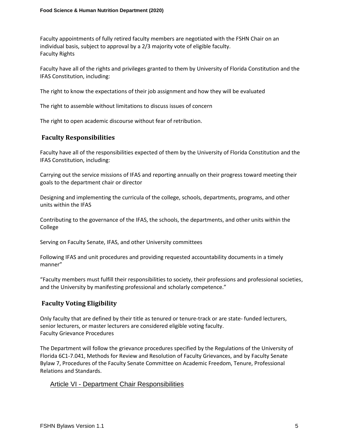Faculty appointments of fully retired faculty members are negotiated with the FSHN Chair on an individual basis, subject to approval by a 2/3 majority vote of eligible faculty. Faculty Rights

Faculty have all of the rights and privileges granted to them by [University of Florida](http://www.generalcounsel.ufl.edu/downloads/Constitution.pdf) Constitution and the [IFAS Constitution,](http://faculty.ifas.ufl.edu/assembly/IFAS_Constitution.pdf) including:

The right to know the expectations of their job assignment and how they will be evaluated

The right to assemble without limitations to discuss issues of concern

The right to open academic discourse without fear of retribution.

### <span id="page-4-0"></span>**Faculty Responsibilities**

Faculty have all of the responsibilities expected of them by the [University of Florida Constitution](http://www.generalcounsel.ufl.edu/downloads/Constitution.pdf) and the [IFAS Constitution,](http://faculty.ifas.ufl.edu/assembly/IFAS_Constitution.pdf) including:

Carrying out the service missions of IFAS and reporting annually on their progress toward meeting their goals to the department chair or director

Designing and implementing the curricula of the college, schools, departments, programs, and other units within the IFAS

Contributing to the governance of the IFAS, the schools, the departments, and other units within the College

Serving on Faculty Senate, IFAS, and other University committees

Following IFAS and unit procedures and providing requested accountability documents in a timely manner"

"Faculty members must fulfill their responsibilities to society, their professions and professional societies, and the University by manifesting professional and scholarly competence."

# <span id="page-4-1"></span>**Faculty Voting Eligibility**

Only faculty that are defined by their title as tenured or tenure-track or are state- funded lecturers, senior lecturers, or master lecturers are considered eligible voting faculty. Faculty Grievance Procedures

The Department will follow the grievance procedures specified by the Regulations of th[e University of](http://regulations.ufl.edu/chapter7/7041.pdf)  [Florida 6C1-7.041,](http://regulations.ufl.edu/chapter7/7041.pdf) Methods for Review and Resolution of Faculty Grievances, and by [Faculty Senate](http://www.generalcounsel.ufl.edu/downloads/Bylaws.pdf)  [Bylaw 7,](http://www.generalcounsel.ufl.edu/downloads/Bylaws.pdf) Procedures of the Faculty Senate Committee on Academic Freedom, Tenure, Professional Relations and Standards.

# <span id="page-4-2"></span>Article VI - Department Chair Responsibilities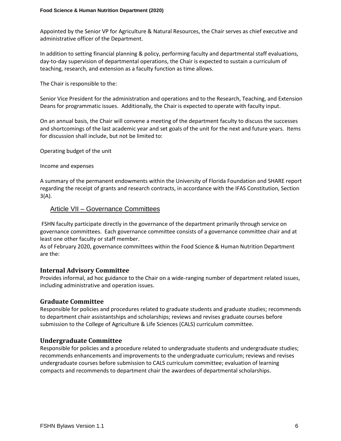Appointed by the Senior VP for Agriculture & Natural Resources, the Chair serves as chief executive and administrative officer of the Department.

In addition to setting financial planning & policy, performing faculty and departmental staff evaluations, day-to-day supervision of departmental operations, the Chair is expected to sustain a curriculum of teaching, research, and extension as a faculty function as time allows.

The Chair is responsible to the:

[Senior Vice President](http://vp.ifas.ufl.edu/) for the administration and operations and to the [Research,](http://research.ifas.ufl.edu/) [Teaching,](http://cals.ufl.edu/cals_solutions/barrick.shtml) an[d Extension](http://extadmin.ifas.ufl.edu/staff/ferrer_millie.shtml) Deans for programmatic issues. Additionally, the Chair is expected to operate with faculty input.

On an annual basis, the Chair will convene a meeting of the department faculty to discuss the successes and shortcomings of the last academic year and set goals of the unit for the next and future years. Items for discussion shall include, but not be limited to:

Operating budget of the unit

Income and expenses

A summary of the permanent endowments within the University of Florida Foundation and SHARE report regarding the receipt of grants and research contracts, in accordance with the IFAS Constitution, Section 3(A).

### <span id="page-5-0"></span>Article VII – Governance Committees

FSHN faculty participate directly in the governance of the department primarily through service on governance committees. Each governance committee consists of a governance committee chair and at least one other faculty or staff member.

As of February 2020, governance committees within the Food Science & Human Nutrition Department are the:

#### <span id="page-5-1"></span>**Internal Advisory Committee**

Provides informal, ad hoc guidance to the Chair on a wide-ranging number of department related issues, including administrative and operation issues.

#### <span id="page-5-2"></span>**Graduate Committee**

Responsible for policies and procedures related to graduate students and graduate studies; recommends to department chair assistantships and scholarships; reviews and revises graduate courses before submission to the College of Agriculture & Life Sciences (CALS) curriculum committee.

#### <span id="page-5-3"></span>**Undergraduate Committee**

Responsible for policies and a procedure related to undergraduate students and undergraduate studies; recommends enhancements and improvements to the undergraduate curriculum; reviews and revises undergraduate courses before submission to CALS curriculum committee; evaluation of learning compacts and recommends to department chair the awardees of departmental scholarships.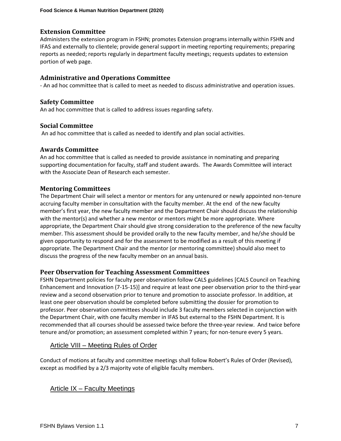### <span id="page-6-0"></span>**Extension Committee**

Administers the extension program in FSHN; promotes Extension programs internally within FSHN and IFAS and externally to clientele; provide general support in meeting reporting requirements; preparing reports as needed; reports regularly in department faculty meetings; requests updates to extension portion of web page.

### <span id="page-6-1"></span>**Administrative and Operations Committee**

- An ad hoc committee that is called to meet as needed to discuss administrative and operation issues.

#### <span id="page-6-2"></span>**Safety Committee**

An ad hoc committee that is called to address issues regarding safety.

### <span id="page-6-3"></span>**Social Committee**

An ad hoc committee that is called as needed to identify and plan social activities.

#### <span id="page-6-4"></span>**Awards Committee**

An ad hoc committee that is called as needed to provide assistance in nominating and preparing supporting documentation for faculty, staff and student awards. The Awards Committee will interact with the Associate Dean of Research each semester.

### <span id="page-6-5"></span>**Mentoring Committees**

The Department Chair will select a mentor or mentors for any untenured or newly appointed non-tenure accruing faculty member in consultation with the faculty member. At the end of the new faculty member's first year, the new faculty member and the Department Chair should discuss the relationship with the mentor(s) and whether a new mentor or mentors might be more appropriate. Where appropriate, the Department Chair should give strong consideration to the preference of the new faculty member. This assessment should be provided orally to the new faculty member, and he/she should be given opportunity to respond and for the assessment to be modified as a result of this meeting if appropriate. The Department Chair and the mentor (or mentoring committee) should also meet to discuss the progress of the new faculty member on an annual basis.

#### <span id="page-6-6"></span>**Peer Observation for Teaching Assessment Committees**

FSHN Department policies for faculty peer observation follow CALS guidelines [CALS Council on Teaching Enhancement and Innovation (7-15-15)] and require at least one peer observation prior to the third-year review and a second observation prior to tenure and promotion to associate professor. In addition, at least one peer observation should be completed before submitting the dossier for promotion to professor. Peer observation committees should include 3 faculty members selected in conjunction with the Department Chair, with one faculty member in IFAS but external to the FSHN Department. It is recommended that all courses should be assessed twice before the three-year review. And twice before tenure and/or promotion; an assessment completed within 7 years; for non-tenure every 5 years.

# <span id="page-6-7"></span>Article VIII – Meeting Rules of Order

Conduct of motions at faculty and committee meetings shall follow Robert's Rules of Order (Revised), except as modified by a 2/3 majority vote of eligible faculty members.

# <span id="page-6-8"></span>Article IX – Faculty Meetings